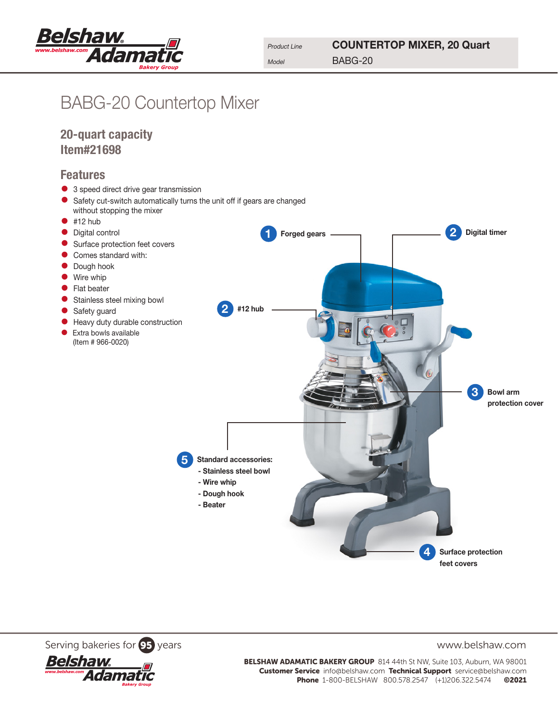

## BABG-20 Countertop Mixer

20-quart capacity Item#21698

## Features

- 3 speed direct drive gear transmission
- Safety cut-switch automatically turns the unit off if gears are changed without stopping the mixer
- $•$  #12 hub Forged gears — produced a Digital timer • Digital control<br>• Surface protect Surface protection feet covers Comes standard with: Dough hook • Wire whip<br>• Flat beater • Flat beater Stainless steel mixing bowl 2 #12 hub Safety guard D° • Heavy duty durable construction<br>• Extra bowls available • Extra bowls available (Item # 966-0020) 3 Bowl arm protection cover Standard accessories: - Stainless steel bowl - Wire whip - Dough hook - Beater 4 Surface protection feet covers

Serving bakeries for **95** years www.belshaw.com



BELSHAW ADAMATIC BAKERY GROUP 814 44th St NW, Suite 103, Auburn, WA 98001 Customer Service info@belshaw.com Technical Support service@belshaw.com Phone 1-800-BELSHAW 800.578.2547 (+1)206.322.5474 ©2021